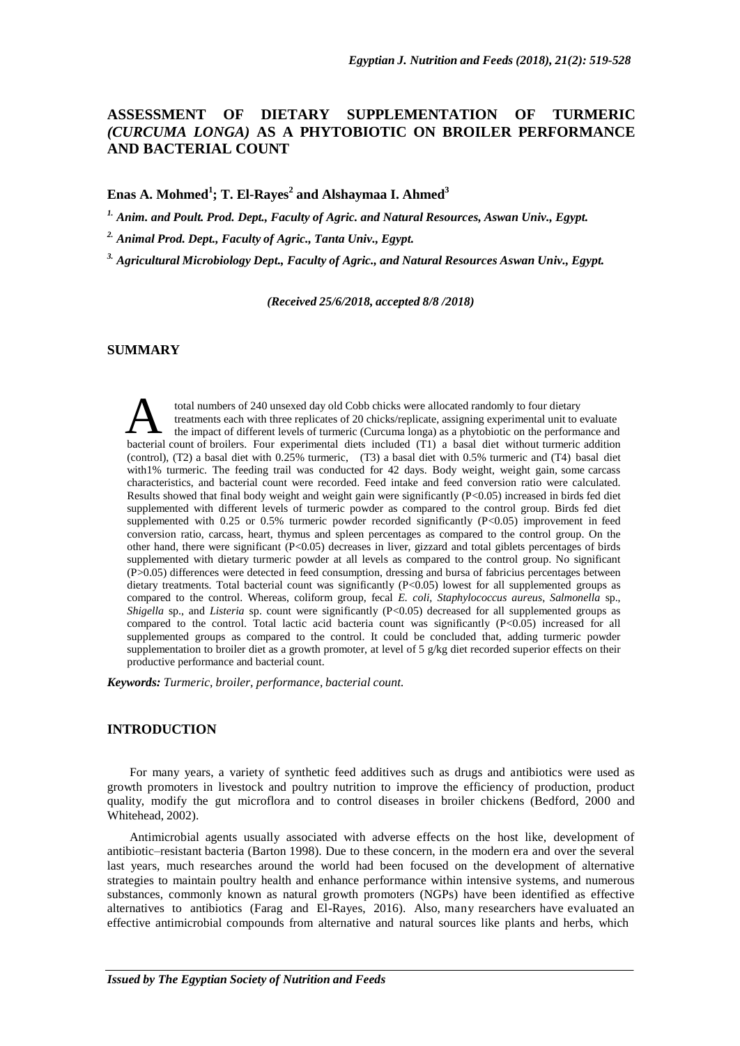# **ASSESSMENT OF DIETARY SUPPLEMENTATION OF TURMERIC**  *(CURCUMA LONGA)* **AS A PHYTOBIOTIC ON BROILER PERFORMANCE AND BACTERIAL COUNT**

**Enas A. Mohmed<sup>1</sup> ; T. El-Rayes 2 and Alshaymaa I. Ahmed 3**

*1. Anim. and Poult. Prod. Dept., Faculty of Agric. and Natural Resources, Aswan Univ., Egypt.*

*2. Animal Prod. Dept., Faculty of Agric., Tanta Univ., Egypt.*

*3. Agricultural Microbiology Dept., Faculty of Agric., and Natural Resources Aswan Univ., Egypt.* 

*(Received 25/6/2018, accepted 8/8 /2018)*

# **SUMMARY**

total numbers of 240 unsexed day old Cobb chicks were allocated randomly to four dietary<br>treatments each with three replicates of 20 chicks/replicate, assigning experimental unit to evaluate<br>the impact of different levels total numbers of 240 unsexed day old Cobb chicks were allocated randomly to four dietary treatments each with three replicates of 20 chicks/replicate, assigning experimental unit to evaluate the impact of different levels of turmeric (Curcuma longa) as a phytobiotic on the performance and (control), (T2) a basal diet with 0.25% turmeric, (T3) a basal diet with 0.5% turmeric and (T4) basal diet with1% turmeric. The feeding trail was conducted for 42 days. Body weight, weight gain, some carcass characteristics, and bacterial count were recorded. Feed intake and feed conversion ratio were calculated. Results showed that final body weight and weight gain were significantly (P<0.05) increased in birds fed diet supplemented with different levels of turmeric powder as compared to the control group. Birds fed diet supplemented with 0.25 or 0.5% turmeric powder recorded significantly (P<0.05) improvement in feed conversion ratio, carcass, heart, thymus and spleen percentages as compared to the control group. On the other hand, there were significant (P<0.05) decreases in liver, gizzard and total giblets percentages of birds supplemented with dietary turmeric powder at all levels as compared to the control group. No significant (P>0.05) differences were detected in feed consumption, dressing and bursa of fabricius percentages between dietary treatments. Total bacterial count was significantly (P<0.05) lowest for all supplemented groups as compared to the control. Whereas, coliform group, fecal *E. coli*, *Staphylococcus aureus*, *Salmonella* sp., *Shigella* sp., and *Listeria* sp. count were significantly (P<0.05) decreased for all supplemented groups as compared to the control. Total lactic acid bacteria count was significantly (P<0.05) increased for all supplemented groups as compared to the control. It could be concluded that, adding turmeric powder supplementation to broiler diet as a growth promoter, at level of  $5 \frac{\text{g}}{\text{kg}}$  diet recorded superior effects on their productive performance and bacterial count.

*Keywords: Turmeric, broiler, performance, bacterial count.*

# **INTRODUCTION**

For many years, a variety of synthetic feed additives such as drugs and antibiotics were used as growth promoters in livestock and poultry nutrition to improve the efficiency of production, product quality, modify the gut microflora and to control diseases in broiler chickens (Bedford, 2000 and Whitehead, 2002).

Antimicrobial agents usually associated with adverse effects on the host like, development of antibiotic–resistant bacteria (Barton 1998). Due to these concern, in the modern era and over the several last years, much researches around the world had been focused on the development of alternative strategies to maintain poultry health and enhance performance within intensive systems, and numerous substances, commonly known as natural growth promoters (NGPs) have been identified as effective alternatives to antibiotics (Farag and El-Rayes, 2016). Also, many researchers have evaluated an effective antimicrobial compounds from alternative and natural sources like plants and herbs, which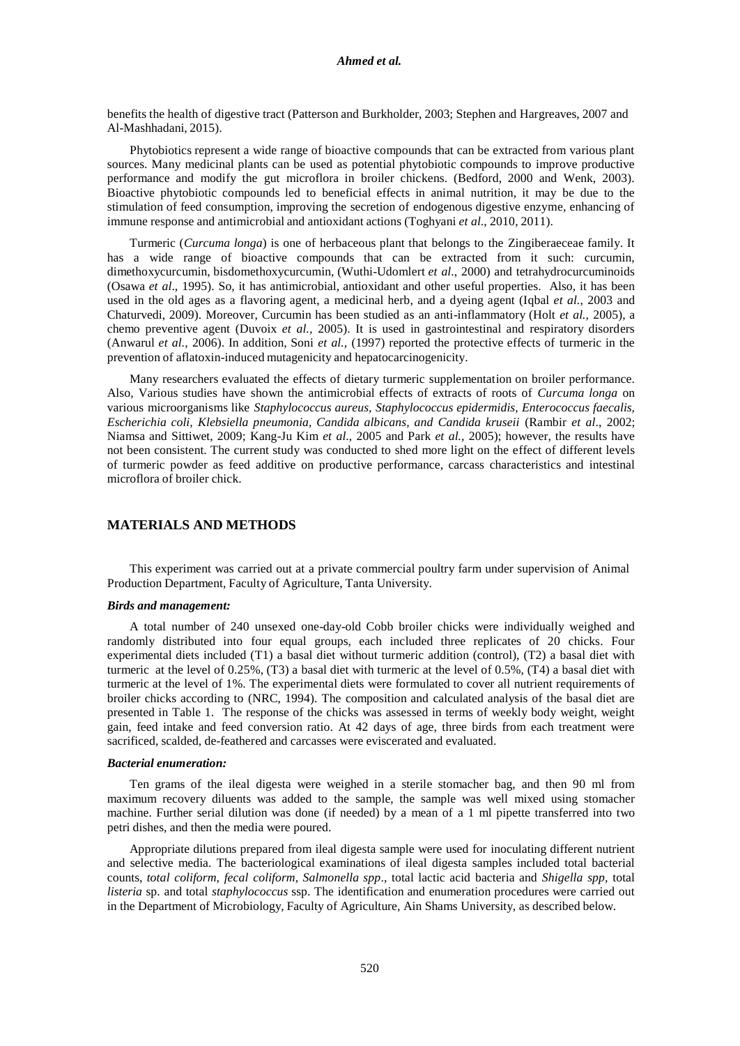benefits the health of digestive tract (Patterson and Burkholder, 2003; Stephen and Hargreaves, 2007 and Al-Mashhadani, 2015).

Phytobiotics represent a wide range of bioactive compounds that can be extracted from various plant sources. Many medicinal plants can be used as potential phytobiotic compounds to improve productive performance and modify the gut microflora in broiler chickens. (Bedford, 2000 and Wenk, 2003). Bioactive phytobiotic compounds led to beneficial effects in animal nutrition, it may be due to the stimulation of feed consumption, improving the secretion of endogenous digestive enzyme, enhancing of immune response and antimicrobial and antioxidant actions (Toghyani *et al*., 2010, 2011).

Turmeric (*Curcuma longa*) is one of herbaceous plant that belongs to the Zingiberaeceae family. It has a wide range of bioactive compounds that can be extracted from it such: curcumin, dimethoxycurcumin, bisdomethoxycurcumin, (Wuthi-Udomlert *et al*., 2000) and tetrahydrocurcuminoids (Osawa *et al*., 1995). So, it has antimicrobial, antioxidant and other useful properties. Also, it has been used in the old ages as a flavoring agent, a medicinal herb, and a dyeing agent (Iqbal *et al.*, 2003 and Chaturvedi, 2009). Moreover, Curcumin has been studied as an anti-inflammatory (Holt *et al.,* 2005), a chemo preventive agent (Duvoix *et al.,* 2005). It is used in gastrointestinal and respiratory disorders (Anwarul *et al.,* 2006). In addition, Soni *et al.,* (1997) reported the protective effects of turmeric in the prevention of aflatoxin-induced mutagenicity and hepatocarcinogenicity.

Many researchers evaluated the effects of dietary turmeric supplementation on broiler performance. Also, Various studies have shown the antimicrobial effects of extracts of roots of *Curcuma longa* on various microorganisms like *Staphylococcus aureus, Staphylococcus epidermidis, Enterococcus faecalis, Escherichia coli, Klebsiella pneumonia, Candida albicans, and Candida kruseii* (Rambir *et al*., 2002; Niamsa and Sittiwet, 2009; Kang-Ju Kim *et al*., 2005 and Park *et al.,* 2005); however, the results have not been consistent. The current study was conducted to shed more light on the effect of different levels of turmeric powder as feed additive on productive performance, carcass characteristics and intestinal microflora of broiler chick.

## **MATERIALS AND METHODS**

This experiment was carried out at a private commercial poultry farm under supervision of Animal Production Department, Faculty of Agriculture, Tanta University.

### *Birds and management:*

A total number of 240 unsexed one-day-old Cobb broiler chicks were individually weighed and randomly distributed into four equal groups, each included three replicates of 20 chicks. Four experimental diets included (T1) a basal diet without turmeric addition (control), (T2) a basal diet with turmeric at the level of 0.25%, (T3) a basal diet with turmeric at the level of 0.5%, (T4) a basal diet with turmeric at the level of 1%. The experimental diets were formulated to cover all nutrient requirements of broiler chicks according to (NRC, 1994). The composition and calculated analysis of the basal diet are presented in Table 1. The response of the chicks was assessed in terms of weekly body weight, weight gain, feed intake and feed conversion ratio. At 42 days of age, three birds from each treatment were sacrificed, scalded, de-feathered and carcasses were eviscerated and evaluated.

#### *Bacterial enumeration:*

Ten grams of the ileal digesta were weighed in a sterile stomacher bag, and then 90 ml from maximum recovery diluents was added to the sample, the sample was well mixed using stomacher machine. Further serial dilution was done (if needed) by a mean of a 1 ml pipette transferred into two petri dishes, and then the media were poured.

Appropriate dilutions prepared from ileal digesta sample were used for inoculating different nutrient and selective media. The bacteriological examinations of ileal digesta samples included total bacterial counts, *total coliform*, *fecal coliform*, *Salmonella spp*., total lactic acid bacteria and *Shigella spp,* total *listeria* sp. and total *staphylococcus* ssp. The identification and enumeration procedures were carried out in the Department of Microbiology, Faculty of Agriculture, Ain Shams University, as described below.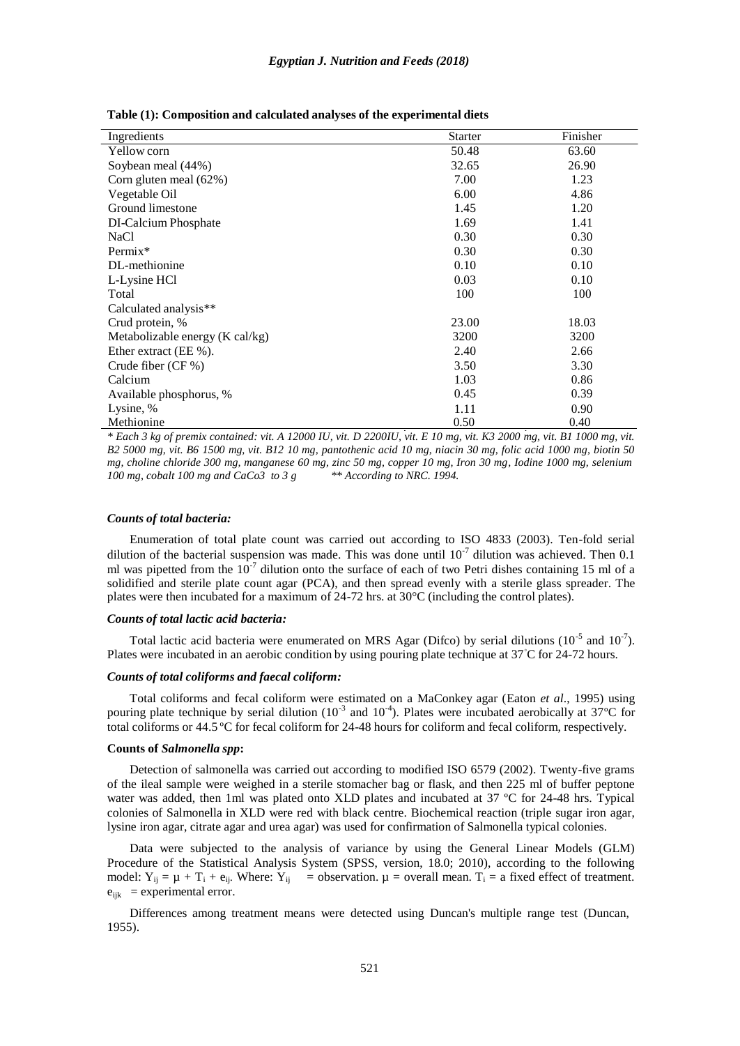| Ingredients                               | <b>Starter</b> | Finisher |
|-------------------------------------------|----------------|----------|
| Yellow corn                               | 50.48          | 63.60    |
| Soybean meal (44%)                        | 32.65          | 26.90    |
| Corn gluten meal (62%)                    | 7.00           | 1.23     |
| Vegetable Oil                             | 6.00           | 4.86     |
| Ground limestone                          | 1.45           | 1.20     |
| DI-Calcium Phosphate                      | 1.69           | 1.41     |
| <b>NaCl</b>                               | 0.30           | 0.30     |
| $Permix^*$                                | 0.30           | 0.30     |
| DL-methionine                             | 0.10           | 0.10     |
| L-Lysine HCl                              | 0.03           | 0.10     |
| Total                                     | 100            | 100      |
| Calculated analysis**                     |                |          |
| Crud protein, %                           | 23.00          | 18.03    |
| Metabolizable energy $(K \text{ cal/kg})$ | 3200           | 3200     |
| Ether extract (EE %).                     | 2.40           | 2.66     |
| Crude fiber $(CF\%)$                      | 3.50           | 3.30     |
| Calcium                                   | 1.03           | 0.86     |
| Available phosphorus, %                   | 0.45           | 0.39     |
| Lysine, %                                 | 1.11           | 0.90     |
| Methionine                                | 0.50           | 0.40     |

**Table (1): Composition and calculated analyses of the experimental diets**

\* Each 3 kg of premix contained: vit. A 12000 IU, vit. D 2200IU, vit. E 10 mg, vit. K3 2000 mg, vit. B1 1000 mg, vit. B2 5000 mg, vit. B6 1500 mg, vit. B12 10 mg, pantothenic acid 10 mg, niacin 30 mg, folic acid 1000 mg, biotin 50 mg, choline chloride 300 mg, manganese 60 mg, zinc 50 mg, copper 10 mg, Iron 30 mg, Iodine 1000 mg, selenium 100 mg and CaCo3 to 3 g  $**$ According to NRC. 1994.  $100 \text{ mg}$ , *cobalt*  $100 \text{ mg}$  *and*  $CaCo3$  *to*  $3 \text{ g}$ 

#### *Counts of total bacteria:*

Enumeration of total plate count was carried out according to ISO 4833 (2003). Ten-fold serial dilution of the bacterial suspension was made. This was done until  $10^{-7}$  dilution was achieved. Then 0.1 ml was pipetted from the  $10^{-7}$  dilution onto the surface of each of two Petri dishes containing 15 ml of a solidified and sterile plate count agar (PCA), and then spread evenly with a sterile glass spreader. The plates were then incubated for a maximum of 24-72 hrs. at 30°C (including the control plates).

#### *Counts of total lactic acid bacteria:*

Total lactic acid bacteria were enumerated on MRS Agar (Difco) by serial dilutions ( $10^{-5}$  and  $10^{-7}$ ). Plates were incubated in an aerobic condition by using pouring plate technique at 37°C for 24-72 hours.

## *Counts of total coliforms and faecal coliform:*

Total coliforms and fecal coliform were estimated on a MaConkey agar (Eaton *et al*., 1995) using pouring plate technique by serial dilution  $(10^{-3}$  and  $10^{-4})$ . Plates were incubated aerobically at 37°C for total coliforms or 44.5 ºC for fecal coliform for 24-48 hours for coliform and fecal coliform, respectively.

#### **Counts of** *Salmonella spp***:**

Detection of salmonella was carried out according to modified ISO 6579 (2002). Twenty-five grams of the ileal sample were weighed in a sterile stomacher bag or flask, and then 225 ml of buffer peptone water was added, then 1ml was plated onto XLD plates and incubated at 37 °C for 24-48 hrs. Typical colonies of Salmonella in XLD were red with black centre. Biochemical reaction (triple sugar iron agar, lysine iron agar, citrate agar and urea agar) was used for confirmation of Salmonella typical colonies.

Data were subjected to the analysis of variance by using the General Linear Models (GLM) Procedure of the Statistical Analysis System (SPSS, version, 18.0; 2010), according to the following model:  $Y_{ij} = \mu + T_i + e_{ij}$ . Where:  $Y_{ij}$  = observation.  $\mu$  = overall mean.  $T_i$  = a fixed effect of treatment.  $e_{ijk}$  = experimental error.

Differences among treatment means were detected using Duncan's multiple range test (Duncan, 1955).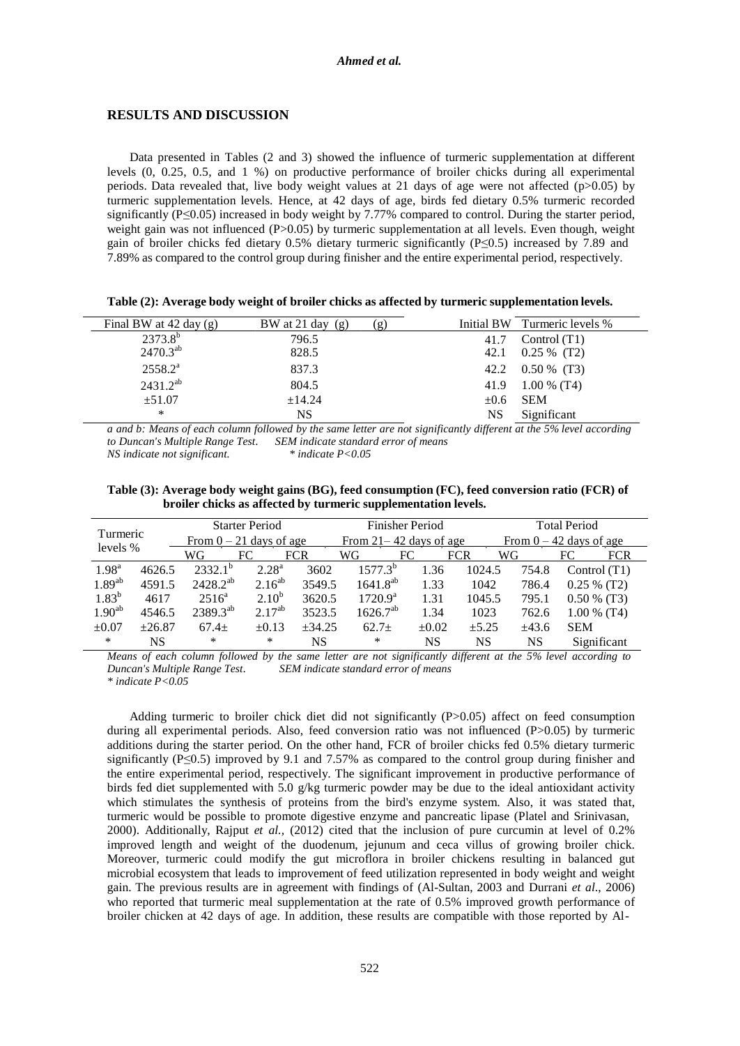## **RESULTS AND DISCUSSION**

Data presented in Tables (2 and 3) showed the influence of turmeric supplementation at different levels (0, 0.25, 0.5, and 1 %) on productive performance of broiler chicks during all experimental periods. Data revealed that, live body weight values at 21 days of age were not affected ( $p>0.05$ ) by turmeric supplementation levels. Hence, at 42 days of age, birds fed dietary 0.5% turmeric recorded significantly (P≤0.05) increased in body weight by 7.77% compared to control. During the starter period, weight gain was not influenced (P>0.05) by turmeric supplementation at all levels. Even though, weight gain of broiler chicks fed dietary 0.5% dietary turmeric significantly (P≤0.5) increased by 7.89 and 7.89% as compared to the control group during finisher and the entire experimental period, respectively.

|  | Table (2): Average body weight of broiler chicks as affected by turmeric supplementation levels. |  |  |  |
|--|--------------------------------------------------------------------------------------------------|--|--|--|
|  |                                                                                                  |  |  |  |

| Final BW at $42 \text{ day (g)}$ | BW at 21 day $(g)$ | (g)  | Initial BW Turmeric levels % |
|----------------------------------|--------------------|------|------------------------------|
| $2373.8^{b}$                     | 796.5              | 41.7 | Control $(T1)$               |
| $2470.3^{ab}$                    | 828.5              | 42.1 | $0.25\%$ (T2)                |
| $2558.2^{a}$                     | 837.3              |      | 42.2 $0.50\%$ (T3)           |
| $2431.2^{ab}$                    | 804.5              | 41.9 | $1.00\%$ (T4)                |
| ±51.07                           | ±14.24             |      | $\pm 0.6$ SEM                |
| ∗                                | <b>NS</b>          | NS.  | Significant                  |

a and b: Means of each column followed by the same letter are not significantly different at the 5% level according *to Duncan's Multiple Range Test*. *SEM indicate standard error of means*  $NS$  *indicate not significant.* 

**Table (3): Average body weight gains (BG), feed consumption (FC), feed conversion ratio (FCR) of broiler chicks as affected by turmeric supplementation levels.**

| Turmeric           |          |                           | <b>Starter Period</b> |                            |                  | <b>Finisher Period</b> |                           |       | <b>Total Period</b> |                |
|--------------------|----------|---------------------------|-----------------------|----------------------------|------------------|------------------------|---------------------------|-------|---------------------|----------------|
|                    |          | From $0 - 21$ days of age |                       | From $21 - 42$ days of age |                  |                        | From $0 - 42$ days of age |       |                     |                |
| levels %           |          | WG                        | FC                    | <b>FCR</b>                 | WG               | FC                     | <b>FCR</b>                | WG    | FC                  | <b>FCR</b>     |
| 1.98 <sup>a</sup>  | 4626.5   | $2332.1^{b}$              | $2.28^{a}$            | 3602                       | $1577.3^{b}$     | 1.36                   | 1024.5                    | 754.8 |                     | Control $(T1)$ |
| $1.89^{ab}$        | 4591.5   | $2428.2^{ab}$             | $2.16^{ab}$           | 3549.5                     | $1641.8^{ab}$    | 1.33                   | 1042                      | 786.4 |                     | $0.25\%$ (T2)  |
| $1.83^{b}$         | 4617     | $2516^{\circ}$            | $2.10^{b}$            | 3620.5                     | $1720.9^{\rm a}$ | 1.31                   | 1045.5                    | 795.1 |                     | $0.50\%$ (T3)  |
| 1.90 <sup>ab</sup> | 4546.5   | $2389.3^{ab}$             | $2.17^{ab}$           | 3523.5                     | $1626.7^{ab}$    | 1.34                   | 1023                      | 762.6 |                     | $1.00\%$ (T4)  |
| $\pm 0.07$         | $+26.87$ | $67.4+$                   | $\pm 0.13$            | $+34.25$                   | $62.7+$          | $\pm 0.02$             | ±5.25                     | ±43.6 | <b>SEM</b>          |                |
| $\ast$             | NS       | ∗                         | *                     | NS                         | ∗                | NS                     | NS                        | NS    |                     | Significant    |

Means of each column followed by the same letter are not significantly different at the 5% level according to *Duncan's Multiple Range Test*. *SEM indicate standard error of means \* indicate P<0.05*

Adding turmeric to broiler chick diet did not significantly (P>0.05) affect on feed consumption during all experimental periods. Also, feed conversion ratio was not influenced (P>0.05) by turmeric additions during the starter period. On the other hand, FCR of broiler chicks fed 0.5% dietary turmeric significantly ( $P \le 0.5$ ) improved by 9.1 and 7.57% as compared to the control group during finisher and the entire experimental period, respectively. The significant improvement in productive performance of birds fed diet supplemented with 5.0 g/kg turmeric powder may be due to the ideal antioxidant activity which stimulates the synthesis of proteins from the bird's enzyme system. Also, it was stated that, turmeric would be possible to promote digestive enzyme and pancreatic lipase (Platel and Srinivasan, 2000). Additionally, Rajput *et al.,* (2012) cited that the inclusion of pure curcumin at level of 0.2% improved length and weight of the duodenum, jejunum and ceca villus of growing broiler chick. Moreover, turmeric could modify the gut microflora in broiler chickens resulting in balanced gut microbial ecosystem that leads to improvement of feed utilization represented in body weight and weight gain. The previous results are in agreement with findings of (Al-Sultan, 2003 and Durrani *et al*., 2006) who reported that turmeric meal supplementation at the rate of 0.5% improved growth performance of broiler chicken at 42 days of age. In addition, these results are compatible with those reported by Al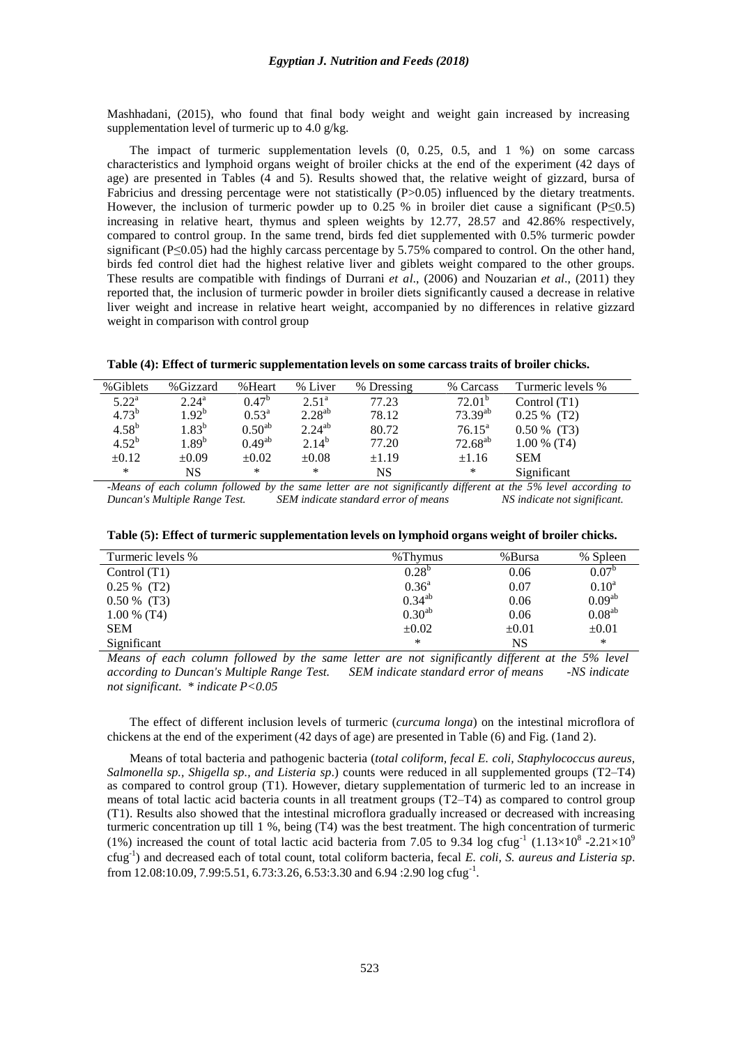Mashhadani, (2015), who found that final body weight and weight gain increased by increasing supplementation level of turmeric up to 4.0 g/kg.

The impact of turmeric supplementation levels (0, 0.25, 0.5, and 1 %) on some carcass characteristics and lymphoid organs weight of broiler chicks at the end of the experiment (42 days of age) are presented in Tables (4 and 5). Results showed that, the relative weight of gizzard, bursa of Fabricius and dressing percentage were not statistically (P>0.05) influenced by the dietary treatments. However, the inclusion of turmeric powder up to 0.25 % in broiler diet cause a significant (P≤0.5) increasing in relative heart, thymus and spleen weights by 12.77, 28.57 and 42.86% respectively, compared to control group. In the same trend, birds fed diet supplemented with 0.5% turmeric powder significant ( $P \le 0.05$ ) had the highly carcass percentage by 5.75% compared to control. On the other hand, birds fed control diet had the highest relative liver and giblets weight compared to the other groups. These results are compatible with findings of Durrani *et al*., (2006) and Nouzarian *et al*., (2011) they reported that, the inclusion of turmeric powder in broiler diets significantly caused a decrease in relative liver weight and increase in relative heart weight, accompanied by no differences in relative gizzard weight in comparison with control group

**Table (4): Effect of turmeric supplementation levels on some carcass traits of broiler chicks.**

| %Giblets       | %Gizzard          | %Heart             | % Liver           | % Dressing | % Carcass          | Turmeric levels % |
|----------------|-------------------|--------------------|-------------------|------------|--------------------|-------------------|
| $5.22^{\rm a}$ | $2.24^{\rm a}$    | $0.47^b$           | 2.51 <sup>a</sup> | 77.23      | 72.01 <sup>b</sup> | Control $(T1)$    |
| $4.73^{b}$     | 1.92 <sup>b</sup> | $0.53^{\rm a}$     | $2.28^{ab}$       | 78.12      | $73.39^{ab}$       | $0.25 \%$ (T2)    |
| $4.58^{b}$     | $1.83^b$          | 0.50 <sup>ab</sup> | $2.24^{ab}$       | 80.72      | $76.15^{\text{a}}$ | $0.50\%$ (T3)     |
| $4.52^{b}$     | $1.89^{\rm b}$    | $0.49^{ab}$        | $2.14^{b}$        | 77.20      | $72.68^{ab}$       | $1.00\%$ (T4)     |
| $\pm 0.12$     | $\pm 0.09$        | $\pm 0.02$         | $\pm 0.08$        | $\pm 1.19$ | $\pm 1.16$         | <b>SEM</b>        |
| $\ast$         | NS                | $\ast$             | $\ast$            | NS         | $\ast$             | Significant       |

-Means of each column followed by the same letter are not significantly different at the 5% level according to *Duncan's Multiple Range Test. SEM indicate standard error of means NS indicate not significant.*

| Table (5): Effect of turmeric supplementation levels on lymphoid organs weight of broiler chicks. |  |  |  |  |
|---------------------------------------------------------------------------------------------------|--|--|--|--|
|                                                                                                   |  |  |  |  |

| Turmeric levels % | %Thymus            | %Bursa     | % Spleen           |
|-------------------|--------------------|------------|--------------------|
| Control $(T1)$    | $0.28^{b}$         | 0.06       | 0.07 <sup>b</sup>  |
| $0.25 \%$ (T2)    | $0.36^{\rm a}$     | 0.07       | $0.10^a$           |
| $0.50\%$ (T3)     | $0.34^{ab}$        | 0.06       | 0.09 <sup>ab</sup> |
| $1.00\%$ (T4)     | 0.30 <sup>ab</sup> | 0.06       | $0.08^{ab}$        |
| <b>SEM</b>        | $\pm 0.02$         | $\pm 0.01$ | $\pm 0.01$         |
| Significant       | $\ast$             | NS         | $\ast$             |

*Means of each column followed by the same letter are not significantly different at the 5% level according to Duncan's Multiple Range Test. SEM indicate standard error of means -NS indicate not significant. \* indicate P<0.05*

The effect of different inclusion levels of turmeric (*curcuma longa*) on the intestinal microflora of chickens at the end of the experiment (42 days of age) are presented in Table (6) and Fig. (1and 2).

Means of total bacteria and pathogenic bacteria (*total coliform, fecal E. coli, Staphylococcus aureus, Salmonella sp., Shigella sp., and Listeria sp*.) counts were reduced in all supplemented groups (T2–T4) as compared to control group (T1). However, dietary supplementation of turmeric led to an increase in means of total lactic acid bacteria counts in all treatment groups (T2–T4) as compared to control group (T1). Results also showed that the intestinal microflora gradually increased or decreased with increasing turmeric concentration up till 1 %, being (T4) was the best treatment. The high concentration of turmeric (1%) increased the count of total lactic acid bacteria from 7.05 to 9.34 log cfug<sup>-1</sup> (1.13×10<sup>8</sup> -2.21×10<sup>9</sup>) cfug -1 ) and decreased each of total count, total coliform bacteria, fecal *E. coli, S. aureus and Listeria sp*. from 12.08:10.09, 7.99:5.51, 6.73:3.26, 6.53:3.30 and 6.94 :2.90 log cfug<sup>-1</sup>.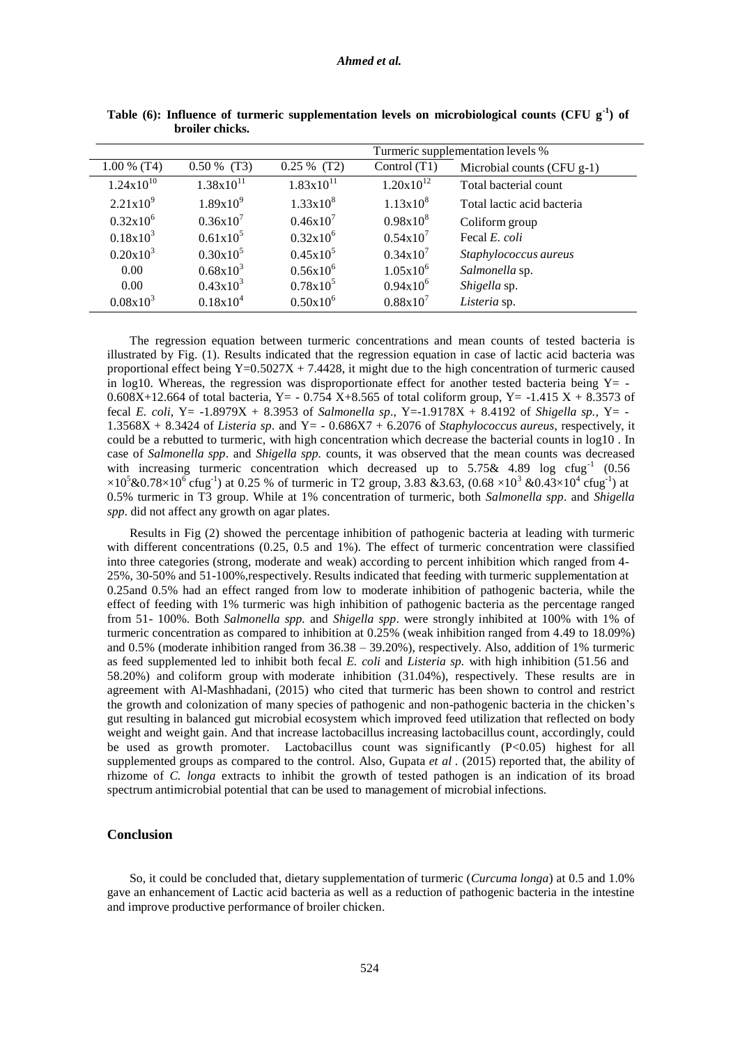|                | Turmeric supplementation levels % |                       |                |                            |  |  |
|----------------|-----------------------------------|-----------------------|----------------|----------------------------|--|--|
| $1.00\%$ (T4)  | $0.50\%$ (T3)                     | $0.25\%$ (T2)         | Control (T1)   | Microbial counts (CFU g-1) |  |  |
| $1.24x10^{10}$ | $1.38x10^{11}$                    | $1.83 \times 10^{11}$ | $1.20x10^{12}$ | Total bacterial count      |  |  |
| $2.21x10^{9}$  | $1.89x10^{9}$                     | $1.33 \times 10^8$    | $1.13x10^{8}$  | Total lactic acid bacteria |  |  |
| $0.32x10^6$    | $0.36x10^{7}$                     | $0.46x10^{7}$         | $0.98x10^{8}$  | Coliform group             |  |  |
| $0.18x10^3$    | $0.61x10^5$                       | $0.32x10^6$           | $0.54x10^{7}$  | Fecal E. coli              |  |  |
| $0.20x10^3$    | $0.30x10^5$                       | $0.45x10^5$           | $0.34x10^{7}$  | Staphylococcus aureus      |  |  |
| 0.00           | $0.68x10^{3}$                     | $0.56x10^6$           | $1.05x10^{6}$  | Salmonella sp.             |  |  |
| 0.00           | $0.43x10^3$                       | $0.78x10^5$           | $0.94x10^{6}$  | Shigella sp.               |  |  |
| $0.08x10^3$    | $0.18x10^4$                       | $0.50x10^6$           | $0.88x10^{7}$  | Listeria sp.               |  |  |

**Table (6): Influence of turmeric supplementation levels on microbiological counts (CFU g -1 ) of broiler chicks.**

The regression equation between turmeric concentrations and mean counts of tested bacteria is illustrated by Fig. (1). Results indicated that the regression equation in case of lactic acid bacteria was proportional effect being  $Y=0.5027X + 7.4428$ , it might due to the high concentration of turmeric caused in log10. Whereas, the regression was disproportionate effect for another tested bacteria being  $Y = -$ 0.608X+12.664 of total bacteria, Y =  $-$  0.754 X+8.565 of total coliform group, Y =  $-1.415$  X + 8.3573 of fecal *E. coli*, Y= -1.8979X + 8.3953 of *Salmonella sp*., Y=-1.9178X + 8.4192 of *Shigella sp.*, Y= - 1.3568X + 8.3424 of *Listeria sp*. and Y= - 0.686X7 + 6.2076 of *Staphylococcus aureus*, respectively, it could be a rebutted to turmeric, with high concentration which decrease the bacterial counts in log10 . In case of *Salmonella spp*. and *Shigella spp.* counts, it was observed that the mean counts was decreased with increasing turmeric concentration which decreased up to  $5.75\&$  4.89 log cfug<sup>-1</sup> (0.56  $\times 10^5 \& 0.78 \times 10^6 \text{ c}$ fug<sup>-1</sup>) at 0.25 % of turmeric in T2 group, 3.83 &3.63, (0.68  $\times 10^3 \& 0.43 \times 10^4 \text{ c}$ fug<sup>-1</sup>) at 0.5% turmeric in T3 group. While at 1% concentration of turmeric, both *Salmonella spp*. and *Shigella spp*. did not affect any growth on agar plates.

Results in Fig (2) showed the percentage inhibition of pathogenic bacteria at leading with turmeric with different concentrations (0.25, 0.5 and 1%). The effect of turmeric concentration were classified into three categories (strong, moderate and weak) according to percent inhibition which ranged from 4- 25%, 30-50% and 51-100%,respectively. Results indicated that feeding with turmeric supplementation at 0.25and 0.5% had an effect ranged from low to moderate inhibition of pathogenic bacteria, while the effect of feeding with 1% turmeric was high inhibition of pathogenic bacteria as the percentage ranged from 51- 100%. Both *Salmonella spp.* and *Shigella spp*. were strongly inhibited at 100% with 1% of turmeric concentration as compared to inhibition at 0.25% (weak inhibition ranged from 4.49 to 18.09%) and 0.5% (moderate inhibition ranged from 36.38 – 39.20%), respectively. Also, addition of 1% turmeric as feed supplemented led to inhibit both fecal *E. coli* and *Listeria sp.* with high inhibition (51.56 and 58.20%) and coliform group with moderate inhibition (31.04%), respectively. These results are in agreement with Al-Mashhadani, (2015) who cited that turmeric has been shown to control and restrict the growth and colonization of many species of pathogenic and non-pathogenic bacteria in the chicken's gut resulting in balanced gut microbial ecosystem which improved feed utilization that reflected on body weight and weight gain. And that increase lactobacillus increasing lactobacillus count, accordingly, could be used as growth promoter. Lactobacillus count was significantly (P<0.05) highest for all supplemented groups as compared to the control. Also, Gupata *et al .* (2015) reported that, the ability of rhizome of *C. longa* extracts to inhibit the growth of tested pathogen is an indication of its broad spectrum antimicrobial potential that can be used to management of microbial infections.

# **Conclusion**

So, it could be concluded that, dietary supplementation of turmeric (*Curcuma longa*) at 0.5 and 1.0% gave an enhancement of Lactic acid bacteria as well as a reduction of pathogenic bacteria in the intestine and improve productive performance of broiler chicken.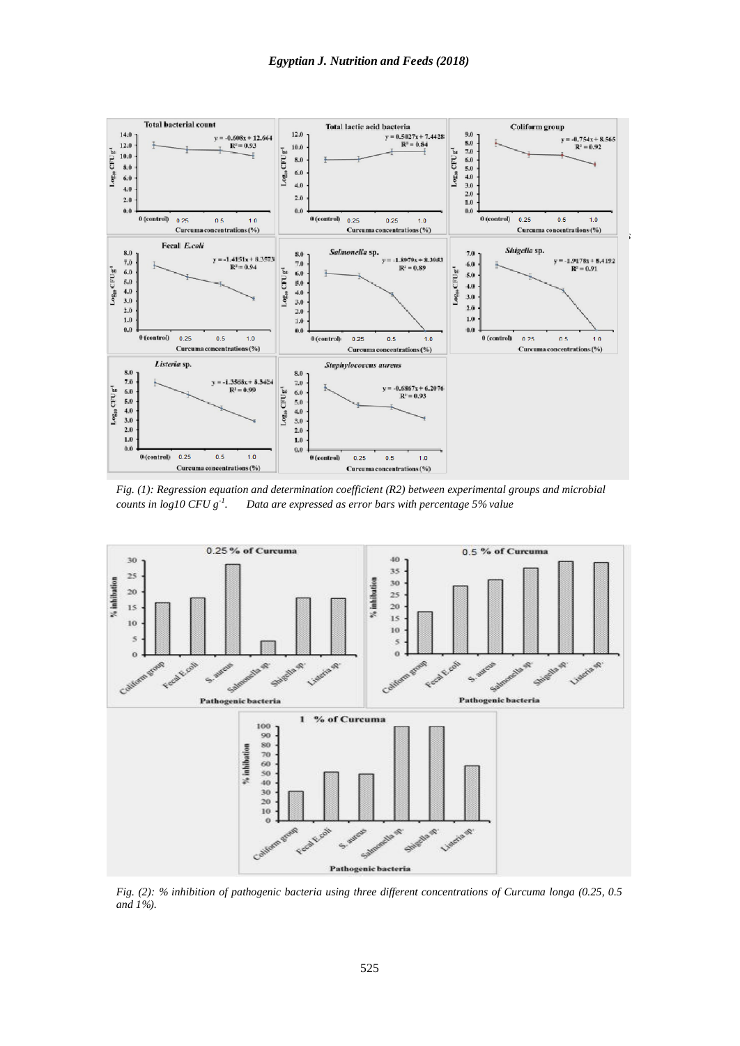

*Fig. (1): Regression equation and determination coefficient (R2) between experimental groups and microbial counts in*  $log10$   $CFU g<sup>-1</sup>$ . *. Data are expressed as error bars with percentage 5% value*



*Fig. (2): % inhibition of pathogenic bacteria using three different concentrations of Curcuma longa (0.25, 0.5 and 1%).*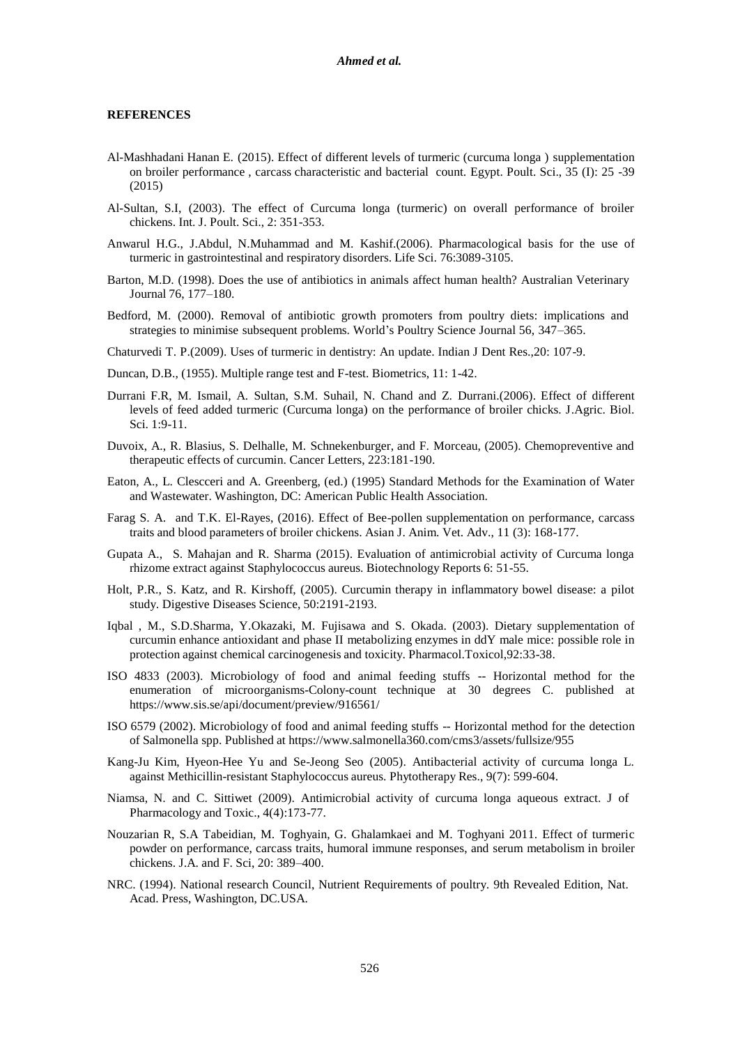### **REFERENCES**

- Al-Mashhadani Hanan E. (2015). Effect of different levels of turmeric (curcuma longa ) supplementation on broiler performance , carcass characteristic and bacterial count. Egypt. Poult. Sci., 35 (I): 25 -39 (2015)
- Al-Sultan, S.I, (2003). The effect of Curcuma longa (turmeric) on overall performance of broiler chickens. Int. J. Poult. Sci., 2: 351-353.
- Anwarul H.G., J.Abdul, N.Muhammad and M. Kashif.(2006). Pharmacological basis for the use of turmeric in gastrointestinal and respiratory disorders. Life Sci. 76:3089-3105.
- Barton, M.D. (1998). Does the use of antibiotics in animals affect human health? Australian Veterinary Journal 76, 177–180.
- Bedford, M. (2000). Removal of antibiotic growth promoters from poultry diets: implications and strategies to minimise subsequent problems. World's Poultry Science Journal 56, 347–365.
- Chaturvedi T. P.(2009). Uses of turmeric in dentistry: An update. Indian J Dent Res.,20: 107-9.
- Duncan, D.B., (1955). Multiple range test and F-test. Biometrics, 11: 1-42.
- Durrani F.R, M. Ismail, A. Sultan, S.M. Suhail, N. Chand and Z. Durrani.(2006). Effect of different levels of feed added turmeric (Curcuma longa) on the performance of broiler chicks. J.Agric. Biol. Sci. 1:9-11.
- Duvoix, A., R. Blasius, S. Delhalle, M. Schnekenburger, and F. Morceau, (2005). Chemopreventive and therapeutic effects of curcumin. Cancer Letters, 223:181-190.
- Eaton, A., L. Clescceri and A. Greenberg, (ed.) (1995) Standard Methods for the Examination of Water and Wastewater. Washington, DC: American Public Health Association.
- Farag S. A. and T.K. El-Rayes, (2016). Effect of Bee-pollen supplementation on performance, carcass traits and blood parameters of broiler chickens. Asian J. Anim. Vet. Adv., 11 (3): 168-177.
- Gupata A., S. Mahajan and R. Sharma (2015). Evaluation of antimicrobial activity of Curcuma longa rhizome extract against Staphylococcus aureus. Biotechnology Reports 6: 51-55.
- Holt, P.R., S. Katz, and R. Kirshoff, (2005). Curcumin therapy in inflammatory bowel disease: a pilot study. Digestive Diseases Science, 50:2191-2193.
- Iqbal , M., S.D.Sharma, Y.Okazaki, M. Fujisawa and S. Okada. (2003). Dietary supplementation of curcumin enhance antioxidant and phase II metabolizing enzymes in ddY male mice: possible role in protection against chemical carcinogenesis and toxicity. Pharmacol.Toxicol,92:33-38.
- ISO 4833 (2003). Microbiology of food and animal feeding stuffs -- Horizontal method for the enumeration of microorganisms-Colony-count technique at 30 degrees C. published a[t](https://www.sis.se/api/document/preview/916561/) <https://www.sis.se/api/document/preview/916561/>
- ISO 6579 (2002). Microbiology of food and animal feeding stuffs -- Horizontal method for the detection of Salmonella spp. Published at http[s://www.salmonella360.com/cms3/assets/fullsize/955](http://www.salmonella360.com/cms3/assets/fullsize/955)
- Kang-Ju Kim, Hyeon-Hee Yu and Se-Jeong Seo (2005). Antibacterial activity of curcuma longa L. against Methicillin-resistant Staphylococcus aureus. Phytotherapy Res., 9(7): 599-604.
- Niamsa, N. and C. Sittiwet (2009). Antimicrobial activity of curcuma longa aqueous extract. J of Pharmacology and Toxic., 4(4):173-77.
- Nouzarian R, S.A Tabeidian, M. Toghyain, G. Ghalamkaei and M. Toghyani 2011. Effect of turmeric powder on performance, carcass traits, humoral immune responses, and serum metabolism in broiler chickens. J.A. and F. Sci, 20: 389–400.
- NRC. (1994). National research Council, Nutrient Requirements of poultry. 9th Revealed Edition, Nat. Acad. Press, Washington, DC.USA.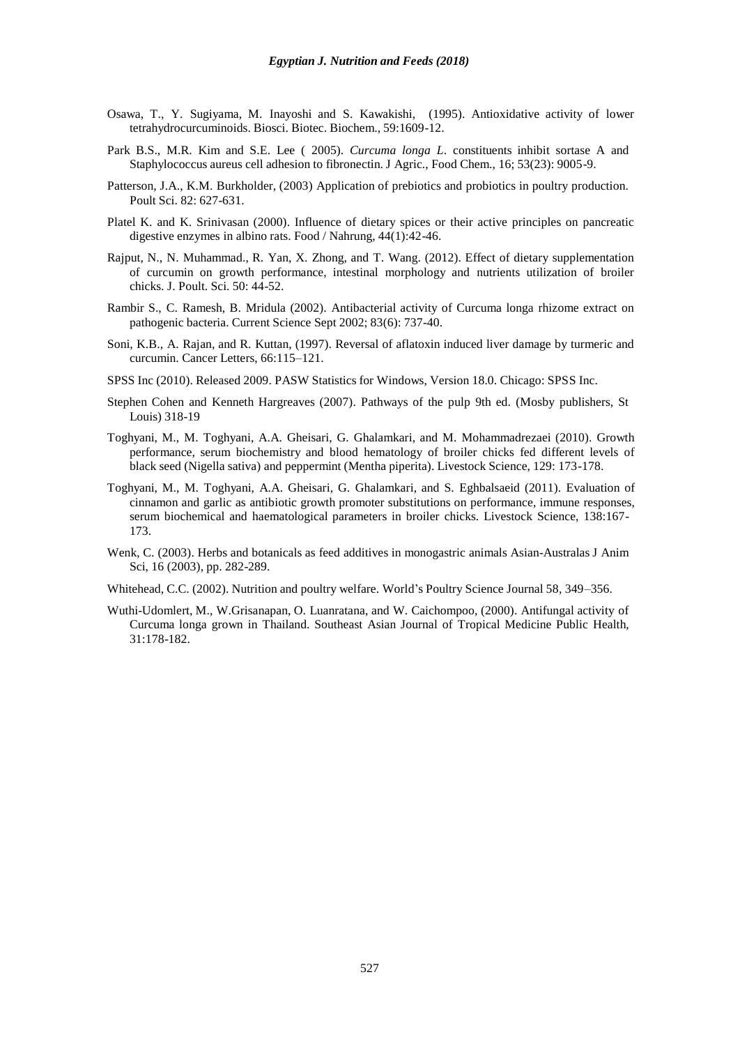- Osawa, T., Y. Sugiyama, M. Inayoshi and S. Kawakishi, (1995). Antioxidative activity of lower tetrahydrocurcuminoids. Biosci. Biotec. Biochem., 59:1609-12.
- Park B.S., M.R. Kim and S.E. Lee ( 2005). *Curcuma longa L*. constituents inhibit sortase A and Staphylococcus aureus cell adhesion to fibronectin. J Agric., Food Chem., 16; 53(23): 9005-9.
- Patterson, J.A., K.M. Burkholder, (2003) Application of prebiotics and probiotics in poultry production. Poult Sci. 82: 627-631.
- Platel K. and K. Srinivasan (2000). Influence of dietary spices or their active principles on pancreatic digestive enzymes in albino rats. Food / Nahrung, 44(1):42-46.
- Rajput, N., N. Muhammad., R. Yan, X. Zhong, and T. Wang. (2012). Effect of dietary supplementation of curcumin on growth performance, intestinal morphology and nutrients utilization of broiler chicks. J. Poult. Sci. 50: 44-52.
- Rambir S., C. Ramesh, B. Mridula (2002). Antibacterial activity of Curcuma longa rhizome extract on pathogenic bacteria. Current Science Sept 2002; 83(6): 737-40.
- Soni, K.B., A. Rajan, and R. Kuttan, (1997). Reversal of aflatoxin induced liver damage by turmeric and curcumin. Cancer Letters, 66:115–121.
- SPSS Inc (2010). Released 2009. PASW Statistics for Windows, Version 18.0. Chicago: SPSS Inc.
- Stephen Cohen and Kenneth Hargreaves (2007). Pathways of the pulp 9th ed. (Mosby publishers, St Louis) 318-19
- Toghyani, M., M. Toghyani, A.A. Gheisari, G. Ghalamkari, and M. Mohammadrezaei (2010). Growth performance, serum biochemistry and blood hematology of broiler chicks fed different levels of black seed (Nigella sativa) and peppermint (Mentha piperita). Livestock Science, 129: 173-178.
- Toghyani, M., M. Toghyani, A.A. Gheisari, G. Ghalamkari, and S. Eghbalsaeid (2011). Evaluation of cinnamon and garlic as antibiotic growth promoter substitutions on performance, immune responses, serum biochemical and haematological parameters in broiler chicks. Livestock Science, 138:167- 173.
- Wenk, C. (2003). Herbs and botanicals as feed additives in monogastric animals Asian-Australas J Anim Sci, 16 (2003), pp. 282-289.
- Whitehead, C.C. (2002). Nutrition and poultry welfare. World's Poultry Science Journal 58, 349–356.
- Wuthi-Udomlert, M., W.Grisanapan, O. Luanratana, and W. Caichompoo, (2000). Antifungal activity of Curcuma longa grown in Thailand. Southeast Asian Journal of Tropical Medicine Public Health, 31:178-182.